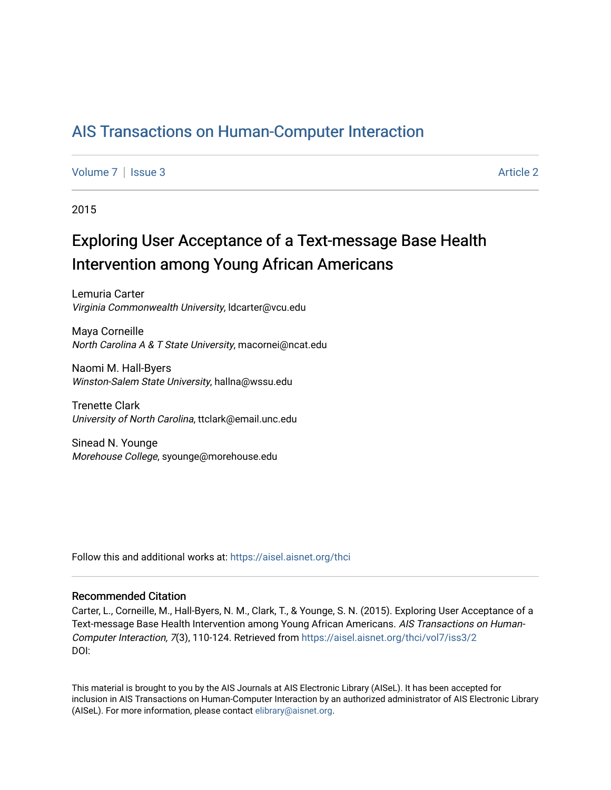# [AIS Transactions on Human-Computer Interaction](https://aisel.aisnet.org/thci)

[Volume 7](https://aisel.aisnet.org/thci/vol7) | [Issue 3](https://aisel.aisnet.org/thci/vol7/iss3) Article 2

2015

# Exploring User Acceptance of a Text-message Base Health Intervention among Young African Americans

Lemuria Carter Virginia Commonwealth University, ldcarter@vcu.edu

Maya Corneille North Carolina A & T State University, macornei@ncat.edu

Naomi M. Hall-Byers Winston-Salem State University, hallna@wssu.edu

Trenette Clark University of North Carolina, ttclark@email.unc.edu

Sinead N. Younge Morehouse College, syounge@morehouse.edu

Follow this and additional works at: [https://aisel.aisnet.org/thci](https://aisel.aisnet.org/thci?utm_source=aisel.aisnet.org%2Fthci%2Fvol7%2Fiss3%2F2&utm_medium=PDF&utm_campaign=PDFCoverPages) 

#### Recommended Citation

Carter, L., Corneille, M., Hall-Byers, N. M., Clark, T., & Younge, S. N. (2015). Exploring User Acceptance of a Text-message Base Health Intervention among Young African Americans. AIS Transactions on Human-Computer Interaction, 7(3), 110-124. Retrieved from [https://aisel.aisnet.org/thci/vol7/iss3/2](https://aisel.aisnet.org/thci/vol7/iss3/2?utm_source=aisel.aisnet.org%2Fthci%2Fvol7%2Fiss3%2F2&utm_medium=PDF&utm_campaign=PDFCoverPages)  DOI:

This material is brought to you by the AIS Journals at AIS Electronic Library (AISeL). It has been accepted for inclusion in AIS Transactions on Human-Computer Interaction by an authorized administrator of AIS Electronic Library (AISeL). For more information, please contact [elibrary@aisnet.org](mailto:elibrary@aisnet.org%3E).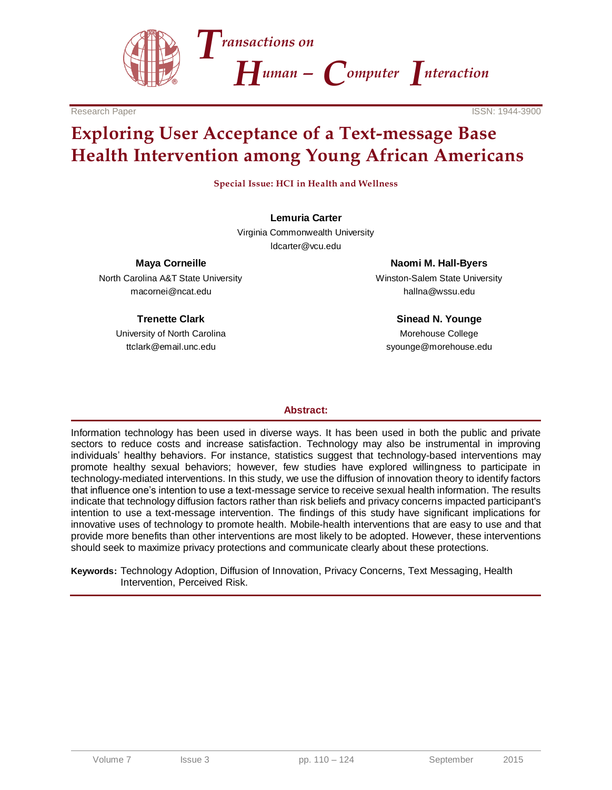



# **Exploring User Acceptance of a Text-message Base Health Intervention among Young African Americans**

**Special Issue: HCI in Health and Wellness**

**Lemuria Carter** Virginia Commonwealth University

ldcarter@vcu.edu

**Maya Corneille**

North Carolina A&T State University macornei@ncat.edu

#### **Trenette Clark**

University of North Carolina ttclark@email.unc.edu

**Naomi M. Hall-Byers** Winston-Salem State University hallna@wssu.edu

**Sinead N. Younge** Morehouse College syounge@morehouse.edu

#### **Abstract:**

Information technology has been used in diverse ways. It has been used in both the public and private sectors to reduce costs and increase satisfaction. Technology may also be instrumental in improving individuals' healthy behaviors. For instance, statistics suggest that technology-based interventions may promote healthy sexual behaviors; however, few studies have explored willingness to participate in technology-mediated interventions. In this study, we use the diffusion of innovation theory to identify factors that influence one's intention to use a text-message service to receive sexual health information. The results indicate that technology diffusion factors rather than risk beliefs and privacy concerns impacted participant's intention to use a text-message intervention. The findings of this study have significant implications for innovative uses of technology to promote health. Mobile-health interventions that are easy to use and that provide more benefits than other interventions are most likely to be adopted. However, these interventions should seek to maximize privacy protections and communicate clearly about these protections.

**Keywords:** Technology Adoption, Diffusion of Innovation, Privacy Concerns, Text Messaging, Health Intervention, Perceived Risk.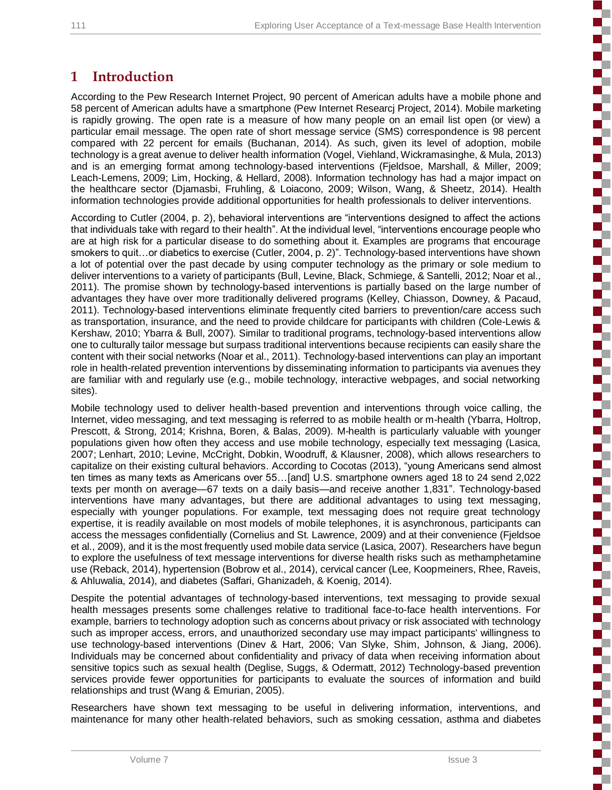ì

**Concerte Concerte** 

E

i

i<br>Santa Sa

E

i<br>Santa Sa

i<br>S

E

3

5

# **1 Introduction**

According to the Pew Research Internet Project, 90 percent of American adults have a mobile phone and 58 percent of American adults have a smartphone (Pew Internet Researcj Project, 2014). Mobile marketing is rapidly growing. The open rate is a measure of how many people on an email list open (or view) a particular email message. The open rate of short message service (SMS) correspondence is 98 percent compared with 22 percent for emails (Buchanan, 2014). As such, given its level of adoption, mobile technology is a great avenue to deliver health information (Vogel, Viehland, Wickramasinghe, & Mula, 2013) and is an emerging format among technology-based interventions (Fjeldsoe, Marshall, & Miller, 2009; Leach-Lemens, 2009; Lim, Hocking, & Hellard, 2008). Information technology has had a major impact on the healthcare sector (Djamasbi, Fruhling, & Loiacono, 2009; Wilson, Wang, & Sheetz, 2014). Health information technologies provide additional opportunities for health professionals to deliver interventions.

According to Cutler (2004, p. 2), behavioral interventions are "interventions designed to affect the actions that individuals take with regard to their health". At the individual level, "interventions encourage people who are at high risk for a particular disease to do something about it. Examples are programs that encourage smokers to quit…or diabetics to exercise (Cutler, 2004, p. 2)". Technology-based interventions have shown a lot of potential over the past decade by using computer technology as the primary or sole medium to deliver interventions to a variety of participants (Bull, Levine, Black, Schmiege, & Santelli, 2012; Noar et al., 2011). The promise shown by technology-based interventions is partially based on the large number of advantages they have over more traditionally delivered programs (Kelley, Chiasson, Downey, & Pacaud, 2011). Technology-based interventions eliminate frequently cited barriers to prevention/care access such as transportation, insurance, and the need to provide childcare for participants with children (Cole-Lewis & Kershaw, 2010; Ybarra & Bull, 2007). Similar to traditional programs, technology-based interventions allow one to culturally tailor message but surpass traditional interventions because recipients can easily share the content with their social networks (Noar et al., 2011). Technology-based interventions can play an important role in health-related prevention interventions by disseminating information to participants via avenues they are familiar with and regularly use (e.g., mobile technology, interactive webpages, and social networking sites).

Mobile technology used to deliver health-based prevention and interventions through voice calling, the Internet, video messaging, and text messaging is referred to as mobile health or m-health (Ybarra, Holtrop, Prescott, & Strong, 2014; Krishna, Boren, & Balas, 2009). M-health is particularly valuable with younger populations given how often they access and use mobile technology, especially text messaging (Lasica, 2007; Lenhart, 2010; Levine, McCright, Dobkin, Woodruff, & Klausner, 2008), which allows researchers to capitalize on their existing cultural behaviors. According to Cocotas (2013), "young Americans send almost ten times as many texts as Americans over 55…[and] U.S. smartphone owners aged 18 to 24 send 2,022 texts per month on average—67 texts on a daily basis—and receive another 1,831". Technology-based interventions have many advantages, but there are additional advantages to using text messaging, especially with younger populations. For example, text messaging does not require great technology expertise, it is readily available on most models of mobile telephones, it is asynchronous, participants can access the messages confidentially (Cornelius and St. Lawrence, 2009) and at their convenience (Fjeldsoe et al., 2009), and it is the most frequently used mobile data service (Lasica, 2007). Researchers have begun to explore the usefulness of text message interventions for diverse health risks such as methamphetamine use (Reback, 2014), hypertension (Bobrow et al., 2014), cervical cancer (Lee, Koopmeiners, Rhee, Raveis, & Ahluwalia, 2014), and diabetes (Saffari, Ghanizadeh, & Koenig, 2014).

Despite the potential advantages of technology-based interventions, text messaging to provide sexual health messages presents some challenges relative to traditional face-to-face health interventions. For example, barriers to technology adoption such as concerns about privacy or risk associated with technology such as improper access, errors, and unauthorized secondary use may impact participants' willingness to use technology-based interventions (Dinev & Hart, 2006; Van Slyke, Shim, Johnson, & Jiang, 2006). Individuals may be concerned about confidentiality and privacy of data when receiving information about sensitive topics such as sexual health (Deglise, Suggs, & Odermatt, 2012) Technology-based prevention services provide fewer opportunities for participants to evaluate the sources of information and build relationships and trust (Wang & Emurian, 2005).

Researchers have shown text messaging to be useful in delivering information, interventions, and maintenance for many other health-related behaviors, such as smoking cessation, asthma and diabetes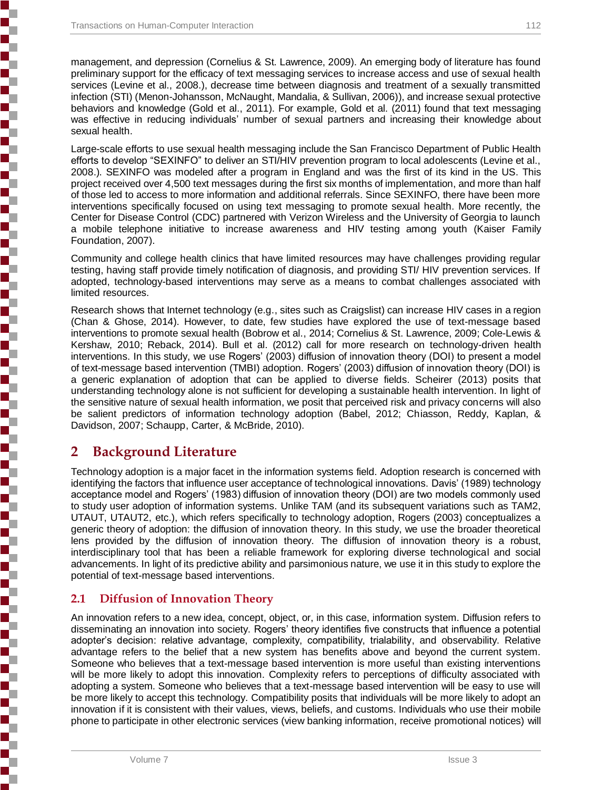management, and depression (Cornelius & St. Lawrence, 2009). An emerging body of literature has found preliminary support for the efficacy of text messaging services to increase access and use of sexual health services (Levine et al., 2008.), decrease time between diagnosis and treatment of a sexually transmitted infection (STI) (Menon-Johansson, McNaught, Mandalia, & Sullivan, 2006)), and increase sexual protective behaviors and knowledge (Gold et al., 2011). For example, Gold et al. (2011) found that text messaging was effective in reducing individuals' number of sexual partners and increasing their knowledge about sexual health.

Large-scale efforts to use sexual health messaging include the San Francisco Department of Public Health efforts to develop "SEXINFO" to deliver an STI/HIV prevention program to local adolescents (Levine et al., 2008.). SEXINFO was modeled after a program in England and was the first of its kind in the US. This project received over 4,500 text messages during the first six months of implementation, and more than half of those led to access to more information and additional referrals. Since SEXINFO, there have been more interventions specifically focused on using text messaging to promote sexual health. More recently, the Center for Disease Control (CDC) partnered with Verizon Wireless and the University of Georgia to launch a mobile telephone initiative to increase awareness and HIV testing among youth (Kaiser Family Foundation, 2007).

Community and college health clinics that have limited resources may have challenges providing regular testing, having staff provide timely notification of diagnosis, and providing STI/ HIV prevention services. If adopted, technology-based interventions may serve as a means to combat challenges associated with limited resources.

Research shows that Internet technology (e.g., sites such as Craigslist) can increase HIV cases in a region (Chan & Ghose, 2014). However, to date, few studies have explored the use of text-message based interventions to promote sexual health (Bobrow et al., 2014; Cornelius & St. Lawrence, 2009; Cole-Lewis & Kershaw, 2010; Reback, 2014). Bull et al. (2012) call for more research on technology-driven health interventions. In this study, we use Rogers' (2003) diffusion of innovation theory (DOI) to present a model of text-message based intervention (TMBI) adoption. Rogers' (2003) diffusion of innovation theory (DOI) is a generic explanation of adoption that can be applied to diverse fields. Scheirer (2013) posits that understanding technology alone is not sufficient for developing a sustainable health intervention. In light of the sensitive nature of sexual health information, we posit that perceived risk and privacy concerns will also be salient predictors of information technology adoption (Babel, 2012; Chiasson, Reddy, Kaplan, & Davidson, 2007; Schaupp, Carter, & McBride, 2010).

# **2 Background Literature**

Technology adoption is a major facet in the information systems field. Adoption research is concerned with identifying the factors that influence user acceptance of technological innovations. Davis' (1989) technology acceptance model and Rogers' (1983) diffusion of innovation theory (DOI) are two models commonly used to study user adoption of information systems. Unlike TAM (and its subsequent variations such as TAM2, UTAUT, UTAUT2, etc.), which refers specifically to technology adoption, Rogers (2003) conceptualizes a generic theory of adoption: the diffusion of innovation theory. In this study, we use the broader theoretical lens provided by the diffusion of innovation theory. The diffusion of innovation theory is a robust, interdisciplinary tool that has been a reliable framework for exploring diverse technological and social advancements. In light of its predictive ability and parsimonious nature, we use it in this study to explore the potential of text-message based interventions.

#### **2.1 Diffusion of Innovation Theory**

An innovation refers to a new idea, concept, object, or, in this case, information system. Diffusion refers to disseminating an innovation into society. Rogers' theory identifies five constructs that influence a potential adopter's decision: relative advantage, complexity, compatibility, trialability, and observability. Relative advantage refers to the belief that a new system has benefits above and beyond the current system. Someone who believes that a text-message based intervention is more useful than existing interventions will be more likely to adopt this innovation. Complexity refers to perceptions of difficulty associated with adopting a system. Someone who believes that a text-message based intervention will be easy to use will be more likely to accept this technology. Compatibility posits that individuals will be more likely to adopt an innovation if it is consistent with their values, views, beliefs, and customs. Individuals who use their mobile phone to participate in other electronic services (view banking information, receive promotional notices) will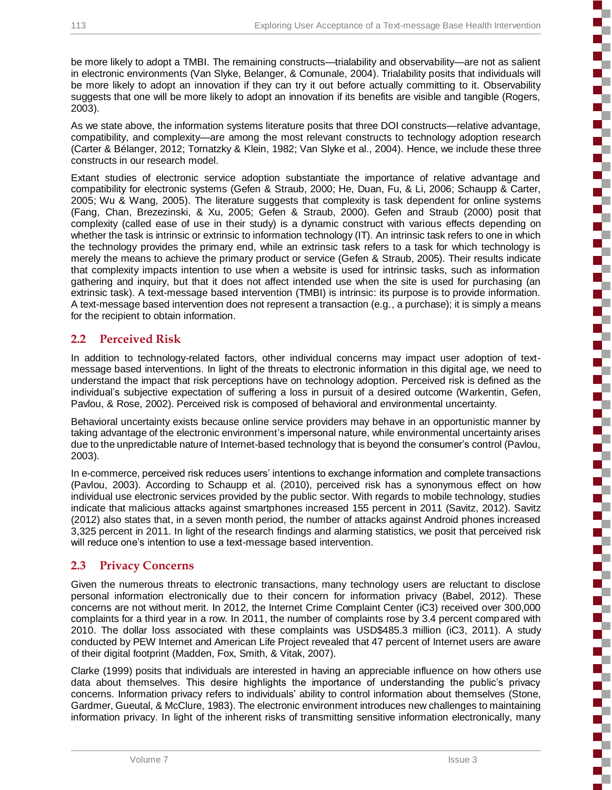be more likely to adopt a TMBI. The remaining constructs—trialability and observability—are not as salient in electronic environments (Van Slyke, Belanger, & Comunale, 2004). Trialability posits that individuals will be more likely to adopt an innovation if they can try it out before actually committing to it. Observability suggests that one will be more likely to adopt an innovation if its benefits are visible and tangible (Rogers, 2003).

As we state above, the information systems literature posits that three DOI constructs—relative advantage, compatibility, and complexity—are among the most relevant constructs to technology adoption research (Carter & Bélanger, 2012; Tornatzky & Klein, 1982; Van Slyke et al., 2004). Hence, we include these three constructs in our research model.

Extant studies of electronic service adoption substantiate the importance of relative advantage and compatibility for electronic systems (Gefen & Straub, 2000; He, Duan, Fu, & Li, 2006; Schaupp & Carter, 2005; Wu & Wang, 2005). The literature suggests that complexity is task dependent for online systems (Fang, Chan, Brezezinski, & Xu, 2005; Gefen & Straub, 2000). Gefen and Straub (2000) posit that complexity (called ease of use in their study) is a dynamic construct with various effects depending on whether the task is intrinsic or extrinsic to information technology (IT). An intrinsic task refers to one in which the technology provides the primary end, while an extrinsic task refers to a task for which technology is merely the means to achieve the primary product or service (Gefen & Straub, 2005). Their results indicate that complexity impacts intention to use when a website is used for intrinsic tasks, such as information gathering and inquiry, but that it does not affect intended use when the site is used for purchasing (an extrinsic task). A text-message based intervention (TMBI) is intrinsic: its purpose is to provide information. A text-message based intervention does not represent a transaction (e.g., a purchase); it is simply a means for the recipient to obtain information.

#### **2.2 Perceived Risk**

In addition to technology-related factors, other individual concerns may impact user adoption of textmessage based interventions. In light of the threats to electronic information in this digital age, we need to understand the impact that risk perceptions have on technology adoption. Perceived risk is defined as the individual's subjective expectation of suffering a loss in pursuit of a desired outcome (Warkentin, Gefen, Pavlou, & Rose, 2002). Perceived risk is composed of behavioral and environmental uncertainty.

Behavioral uncertainty exists because online service providers may behave in an opportunistic manner by taking advantage of the electronic environment's impersonal nature, while environmental uncertainty arises due to the unpredictable nature of Internet-based technology that is beyond the consumer's control (Pavlou, 2003).

In e-commerce, perceived risk reduces users' intentions to exchange information and complete transactions (Pavlou, 2003). According to Schaupp et al. (2010), perceived risk has a synonymous effect on how individual use electronic services provided by the public sector. With regards to mobile technology, studies indicate that malicious attacks against smartphones increased 155 percent in 2011 (Savitz, 2012). Savitz (2012) also states that, in a seven month period, the number of attacks against Android phones increased 3,325 percent in 2011. In light of the research findings and alarming statistics, we posit that perceived risk will reduce one's intention to use a text-message based intervention.

#### **2.3 Privacy Concerns**

Given the numerous threats to electronic transactions, many technology users are reluctant to disclose personal information electronically due to their concern for information privacy (Babel, 2012). These concerns are not without merit. In 2012, the Internet Crime Complaint Center (iC3) received over 300,000 complaints for a third year in a row. In 2011, the number of complaints rose by 3.4 percent compared with 2010. The dollar loss associated with these complaints was USD\$485.3 million (iC3, 2011). A study conducted by PEW Internet and American Life Project revealed that 47 percent of Internet users are aware of their digital footprint (Madden, Fox, Smith, & Vitak, 2007).

Clarke (1999) posits that individuals are interested in having an appreciable influence on how others use data about themselves. This desire highlights the importance of understanding the public's privacy concerns. Information privacy refers to individuals' ability to control information about themselves (Stone, Gardmer, Gueutal, & McClure, 1983). The electronic environment introduces new challenges to maintaining information privacy. In light of the inherent risks of transmitting sensitive information electronically, many

į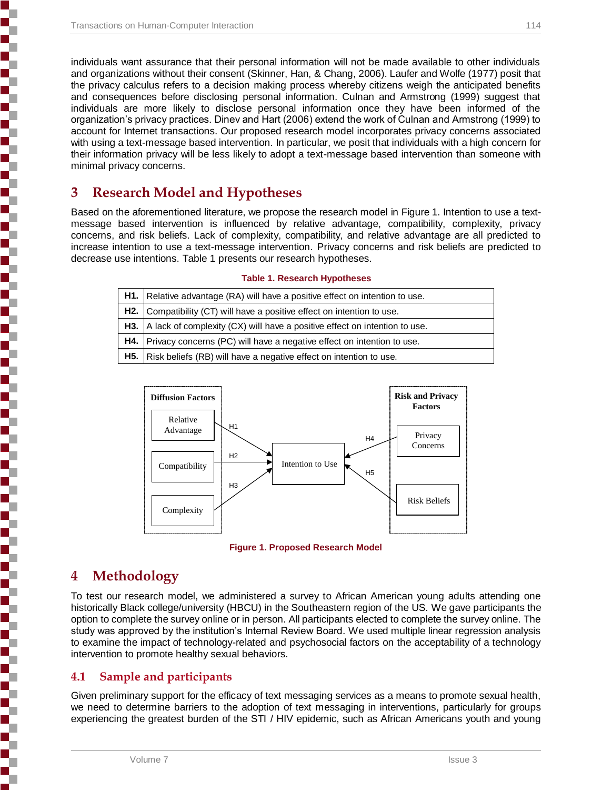individuals want assurance that their personal information will not be made available to other individuals and organizations without their consent (Skinner, Han, & Chang, 2006). Laufer and Wolfe (1977) posit that the privacy calculus refers to a decision making process whereby citizens weigh the anticipated benefits and consequences before disclosing personal information. Culnan and Armstrong (1999) suggest that individuals are more likely to disclose personal information once they have been informed of the organization's privacy practices. Dinev and Hart (2006) extend the work of Culnan and Armstrong (1999) to account for Internet transactions. Our proposed research model incorporates privacy concerns associated with using a text-message based intervention. In particular, we posit that individuals with a high concern for their information privacy will be less likely to adopt a text-message based intervention than someone with minimal privacy concerns.

# **3 Research Model and Hypotheses**

Based on the aforementioned literature, we propose the research model in Figure 1. Intention to use a textmessage based intervention is influenced by relative advantage, compatibility, complexity, privacy concerns, and risk beliefs. Lack of complexity, compatibility, and relative advantage are all predicted to increase intention to use a text-message intervention. Privacy concerns and risk beliefs are predicted to decrease use intentions. Table 1 presents our research hypotheses.

| <b>H1.</b> Relative advantage $(RA)$ will have a positive effect on intention to use. |
|---------------------------------------------------------------------------------------|
| H2. Compatibility (CT) will have a positive effect on intention to use.               |
| <b>H3.</b> A lack of complexity (CX) will have a positive effect on intention to use. |
| <b>H4.</b> Privacy concerns (PC) will have a negative effect on intention to use.     |
| <b>H5.</b> Risk beliefs (RB) will have a negative effect on intention to use.         |

#### **Table 1. Research Hypotheses**



**Figure 1. Proposed Research Model**

# **4 Methodology**

To test our research model, we administered a survey to African American young adults attending one historically Black college/university (HBCU) in the Southeastern region of the US. We gave participants the option to complete the survey online or in person. All participants elected to complete the survey online. The study was approved by the institution's Internal Review Board. We used multiple linear regression analysis to examine the impact of technology-related and psychosocial factors on the acceptability of a technology intervention to promote healthy sexual behaviors.

### **4.1 Sample and participants**

Given preliminary support for the efficacy of text messaging services as a means to promote sexual health, we need to determine barriers to the adoption of text messaging in interventions, particularly for groups experiencing the greatest burden of the STI / HIV epidemic, such as African Americans youth and young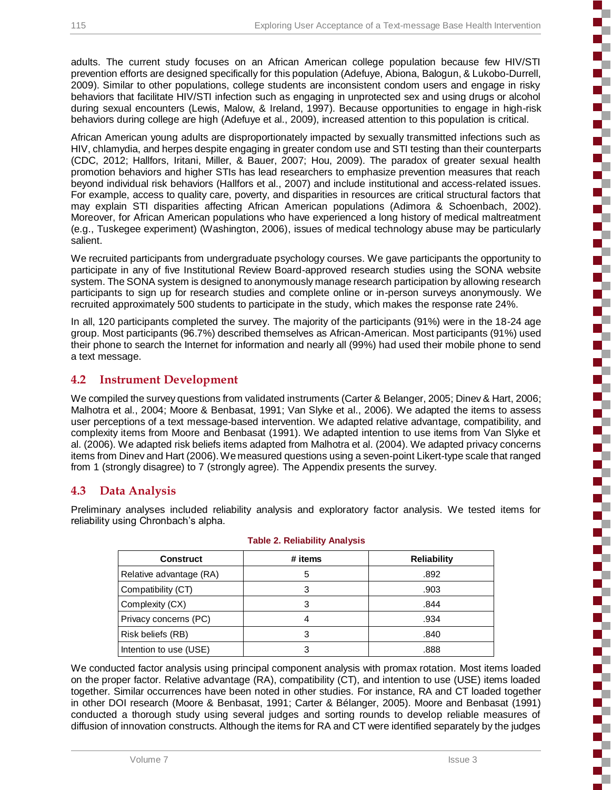しんかん かんかん かんかんかん

S

かんかん かんかんかん かんかん

į

Š

**Concerted** 

adults. The current study focuses on an African American college population because few HIV/STI prevention efforts are designed specifically for this population (Adefuye, Abiona, Balogun, & Lukobo-Durrell, 2009). Similar to other populations, college students are inconsistent condom users and engage in risky behaviors that facilitate HIV/STI infection such as engaging in unprotected sex and using drugs or alcohol during sexual encounters (Lewis, Malow, & Ireland, 1997). Because opportunities to engage in high-risk behaviors during college are high (Adefuye et al., 2009), increased attention to this population is critical.

African American young adults are disproportionately impacted by sexually transmitted infections such as HIV, chlamydia, and herpes despite engaging in greater condom use and STI testing than their counterparts (CDC, 2012; Hallfors, Iritani, Miller, & Bauer, 2007; Hou, 2009). The paradox of greater sexual health promotion behaviors and higher STIs has lead researchers to emphasize prevention measures that reach beyond individual risk behaviors (Hallfors et al., 2007) and include institutional and access-related issues. For example, access to quality care, poverty, and disparities in resources are critical structural factors that may explain STI disparities affecting African American populations (Adimora & Schoenbach, 2002). Moreover, for African American populations who have experienced a long history of medical maltreatment (e.g., Tuskegee experiment) (Washington, 2006), issues of medical technology abuse may be particularly salient.

We recruited participants from undergraduate psychology courses. We gave participants the opportunity to participate in any of five Institutional Review Board-approved research studies using the SONA website system. The SONA system is designed to anonymously manage research participation by allowing research participants to sign up for research studies and complete online or in-person surveys anonymously. We recruited approximately 500 students to participate in the study, which makes the response rate 24%.

In all, 120 participants completed the survey. The majority of the participants (91%) were in the 18-24 age group. Most participants (96.7%) described themselves as African-American. Most participants (91%) used their phone to search the Internet for information and nearly all (99%) had used their mobile phone to send a text message.

#### **4.2 Instrument Development**

We compiled the survey questions from validated instruments (Carter & Belanger, 2005; Dinev & Hart, 2006; Malhotra et al., 2004; Moore & Benbasat, 1991; Van Slyke et al., 2006). We adapted the items to assess user perceptions of a text message-based intervention. We adapted relative advantage, compatibility, and complexity items from Moore and Benbasat (1991). We adapted intention to use items from Van Slyke et al. (2006). We adapted risk beliefs items adapted from Malhotra et al. (2004). We adapted privacy concerns items from Dinev and Hart (2006).We measured questions using a seven-point Likert-type scale that ranged from 1 (strongly disagree) to 7 (strongly agree). The Appendix presents the survey.

#### **4.3 Data Analysis**

Preliminary analyses included reliability analysis and exploratory factor analysis. We tested items for reliability using Chronbach's alpha.

| <b>Construct</b>        | # items | <b>Reliability</b> |
|-------------------------|---------|--------------------|
| Relative advantage (RA) | 5       | .892               |
| Compatibility (CT)      | 3       | .903               |
| Complexity (CX)         | 3       | .844               |
| Privacy concerns (PC)   | 4       | .934               |
| Risk beliefs (RB)       | З       | .840               |
| Intention to use (USE)  |         | .888               |

#### **Table 2. Reliability Analysis**

We conducted factor analysis using principal component analysis with promax rotation. Most items loaded on the proper factor. Relative advantage (RA), compatibility (CT), and intention to use (USE) items loaded together. Similar occurrences have been noted in other studies. For instance, RA and CT loaded together in other DOI research (Moore & Benbasat, 1991; Carter & Bélanger, 2005). Moore and Benbasat (1991) conducted a thorough study using several judges and sorting rounds to develop reliable measures of diffusion of innovation constructs. Although the items for RA and CT were identified separately by the judges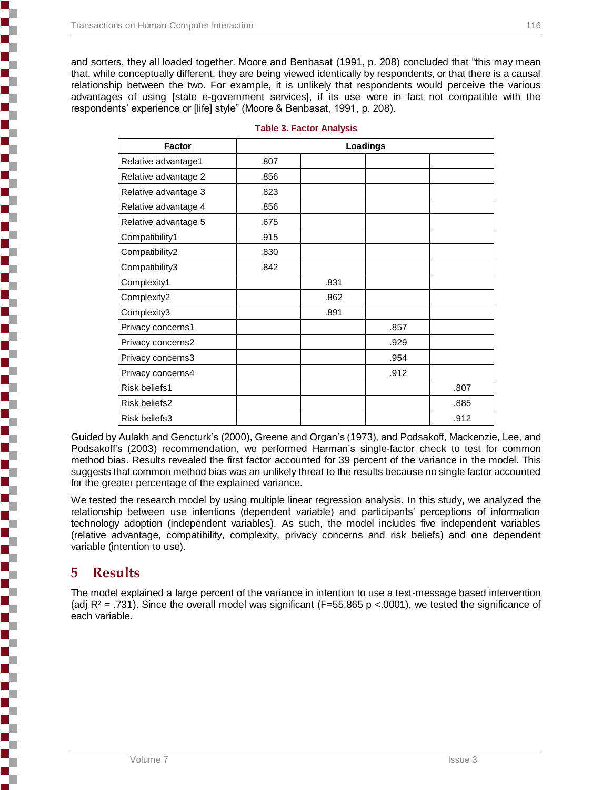**Concert of the concert of the concert** 

**Contractor** 

しゅうしょう こうしゃ こうしゃ アイ・ファイル しょうかん しょうかん しょうかん しょうかん しょうかん しょうかん しょうかん しょうかん しょうかん しょうかん しょうかん しょうかん しょうかん しょうかん しょうかん しょうかん しょうかん

and sorters, they all loaded together. Moore and Benbasat (1991, p. 208) concluded that "this may mean that, while conceptually different, they are being viewed identically by respondents, or that there is a causal relationship between the two. For example, it is unlikely that respondents would perceive the various advantages of using [state e-government services], if its use were in fact not compatible with the respondents' experience or [life] style" (Moore & Benbasat, 1991, p. 208).

| Factor               |      | Loadings |      |      |
|----------------------|------|----------|------|------|
| Relative advantage1  | .807 |          |      |      |
| Relative advantage 2 | .856 |          |      |      |
| Relative advantage 3 | .823 |          |      |      |
| Relative advantage 4 | .856 |          |      |      |
| Relative advantage 5 | .675 |          |      |      |
| Compatibility1       | .915 |          |      |      |
| Compatibility2       | .830 |          |      |      |
| Compatibility3       | .842 |          |      |      |
| Complexity1          |      | .831     |      |      |
| Complexity2          |      | .862     |      |      |
| Complexity3          |      | .891     |      |      |
| Privacy concerns1    |      |          | .857 |      |
| Privacy concerns2    |      |          | .929 |      |
| Privacy concerns3    |      |          | .954 |      |
| Privacy concerns4    |      |          | .912 |      |
| Risk beliefs1        |      |          |      | .807 |
| Risk beliefs2        |      |          |      | .885 |
| Risk beliefs3        |      |          |      | .912 |

|  | <b>Table 3. Factor Analysis</b> |  |
|--|---------------------------------|--|
|  |                                 |  |

Guided by Aulakh and Gencturk's (2000), Greene and Organ's (1973), and Podsakoff, Mackenzie, Lee, and Podsakoff's (2003) recommendation, we performed Harman's single-factor check to test for common method bias. Results revealed the first factor accounted for 39 percent of the variance in the model. This suggests that common method bias was an unlikely threat to the results because no single factor accounted for the greater percentage of the explained variance.

We tested the research model by using multiple linear regression analysis. In this study, we analyzed the relationship between use intentions (dependent variable) and participants' perceptions of information technology adoption (independent variables). As such, the model includes five independent variables (relative advantage, compatibility, complexity, privacy concerns and risk beliefs) and one dependent variable (intention to use).

# **5 Results**

The model explained a large percent of the variance in intention to use a text-message based intervention (adj  $R^2$  = .731). Since the overall model was significant (F=55.865 p <.0001), we tested the significance of each variable.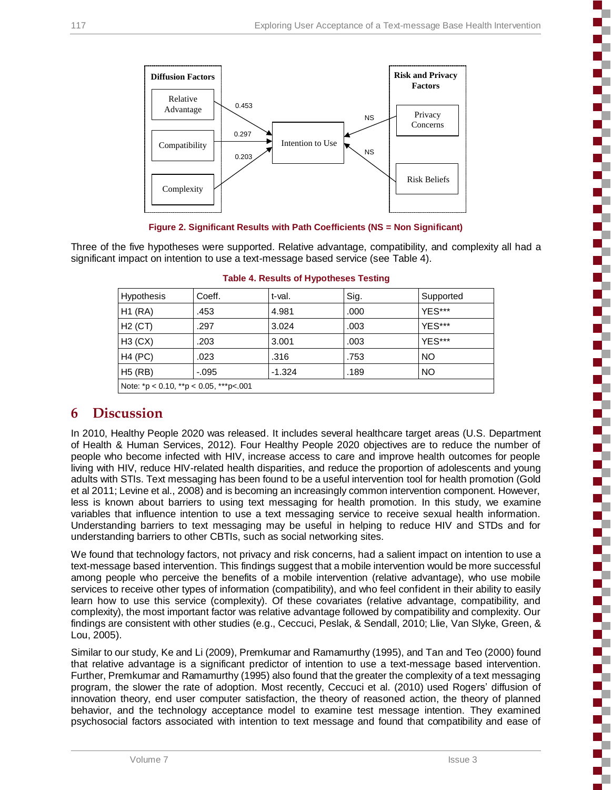h

г

T h

ŝ

E

2 J. 5

F T

T F

Ŝ

П



**Figure 2. Significant Results with Path Coefficients (NS = Non Significant)**

Three of the five hypotheses were supported. Relative advantage, compatibility, and complexity all had a significant impact on intention to use a text-message based service (see Table 4).

| Hypothesis                             | Coeff.   | t-val.   | Sig. | Supported |
|----------------------------------------|----------|----------|------|-----------|
| H1 (RA)                                | .453     | 4.981    | .000 | YES***    |
| $H2$ (CT)                              | .297     | 3.024    | .003 | YES***    |
| H3(CX)                                 | .203     | 3.001    | .003 | YES***    |
| <b>H4 (PC)</b>                         | .023     | .316     | .753 | NO        |
| $H5$ (RB)                              | $-0.095$ | $-1.324$ | .189 | NO.       |
| Note: *p < 0.10, **p < 0.05, ***p<.001 |          |          |      |           |

|  |  |  | Table 4. Results of Hypotheses Testing |
|--|--|--|----------------------------------------|
|  |  |  |                                        |

# **6 Discussion**

In 2010, Healthy People 2020 was released. It includes several healthcare target areas (U.S. Department of Health & Human Services, 2012). Four Healthy People 2020 objectives are to reduce the number of people who become infected with HIV, increase access to care and improve health outcomes for people living with HIV, reduce HIV-related health disparities, and reduce the proportion of adolescents and young adults with STIs. Text messaging has been found to be a useful intervention tool for health promotion (Gold et al 2011; Levine et al., 2008) and is becoming an increasingly common intervention component. However, less is known about barriers to using text messaging for health promotion. In this study, we examine variables that influence intention to use a text messaging service to receive sexual health information. Understanding barriers to text messaging may be useful in helping to reduce HIV and STDs and for understanding barriers to other CBTIs, such as social networking sites.

We found that technology factors, not privacy and risk concerns, had a salient impact on intention to use a text-message based intervention. This findings suggest that a mobile intervention would be more successful among people who perceive the benefits of a mobile intervention (relative advantage), who use mobile services to receive other types of information (compatibility), and who feel confident in their ability to easily learn how to use this service (complexity). Of these covariates (relative advantage, compatibility, and complexity), the most important factor was relative advantage followed by compatibility and complexity. Our findings are consistent with other studies (e.g., Ceccuci, Peslak, & Sendall, 2010; Llie, Van Slyke, Green, & Lou, 2005).

Similar to our study, Ke and Li (2009), Premkumar and Ramamurthy (1995), and Tan and Teo (2000) found that relative advantage is a significant predictor of intention to use a text-message based intervention. Further, Premkumar and Ramamurthy (1995) also found that the greater the complexity of a text messaging program, the slower the rate of adoption. Most recently, Ceccuci et al. (2010) used Rogers' diffusion of innovation theory, end user computer satisfaction, the theory of reasoned action, the theory of planned behavior, and the technology acceptance model to examine test message intention. They examined psychosocial factors associated with intention to text message and found that compatibility and ease of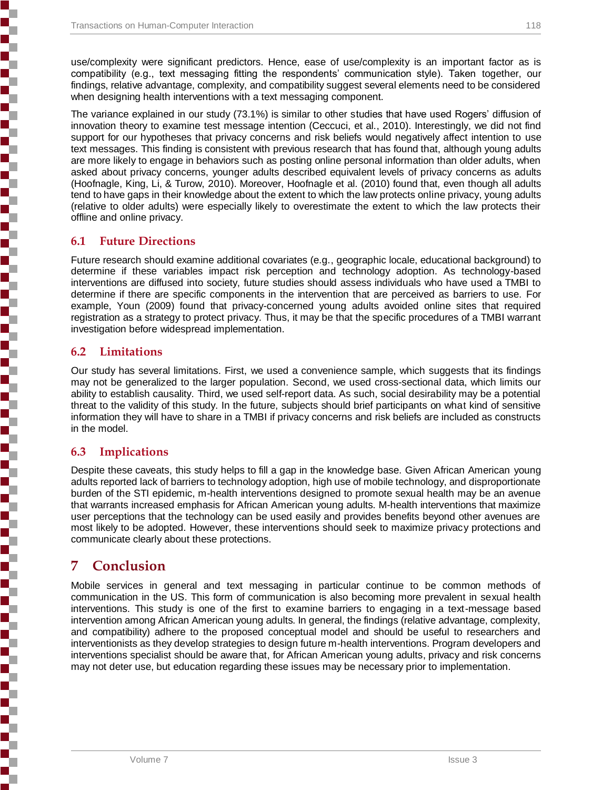use/complexity were significant predictors. Hence, ease of use/complexity is an important factor as is compatibility (e.g., text messaging fitting the respondents' communication style). Taken together, our findings, relative advantage, complexity, and compatibility suggest several elements need to be considered when designing health interventions with a text messaging component.

The variance explained in our study (73.1%) is similar to other studies that have used Rogers' diffusion of innovation theory to examine test message intention (Ceccuci, et al., 2010). Interestingly, we did not find support for our hypotheses that privacy concerns and risk beliefs would negatively affect intention to use text messages. This finding is consistent with previous research that has found that, although young adults are more likely to engage in behaviors such as posting online personal information than older adults, when asked about privacy concerns, younger adults described equivalent levels of privacy concerns as adults (Hoofnagle, King, Li, & Turow, 2010). Moreover, Hoofnagle et al. (2010) found that, even though all adults tend to have gaps in their knowledge about the extent to which the law protects online privacy, young adults (relative to older adults) were especially likely to overestimate the extent to which the law protects their offline and online privacy.

#### **6.1 Future Directions**

Future research should examine additional covariates (e.g., geographic locale, educational background) to determine if these variables impact risk perception and technology adoption. As technology-based interventions are diffused into society, future studies should assess individuals who have used a TMBI to determine if there are specific components in the intervention that are perceived as barriers to use. For example, Youn (2009) found that privacy-concerned young adults avoided online sites that required registration as a strategy to protect privacy. Thus, it may be that the specific procedures of a TMBI warrant investigation before widespread implementation.

#### **6.2 Limitations**

Our study has several limitations. First, we used a convenience sample, which suggests that its findings may not be generalized to the larger population. Second, we used cross-sectional data, which limits our ability to establish causality. Third, we used self-report data. As such, social desirability may be a potential threat to the validity of this study. In the future, subjects should brief participants on what kind of sensitive information they will have to share in a TMBI if privacy concerns and risk beliefs are included as constructs in the model.

#### **6.3 Implications**

Despite these caveats, this study helps to fill a gap in the knowledge base. Given African American young adults reported lack of barriers to technology adoption, high use of mobile technology, and disproportionate burden of the STI epidemic, m-health interventions designed to promote sexual health may be an avenue that warrants increased emphasis for African American young adults. M-health interventions that maximize user perceptions that the technology can be used easily and provides benefits beyond other avenues are most likely to be adopted. However, these interventions should seek to maximize privacy protections and communicate clearly about these protections.

# **7 Conclusion**

Mobile services in general and text messaging in particular continue to be common methods of communication in the US. This form of communication is also becoming more prevalent in sexual health interventions. This study is one of the first to examine barriers to engaging in a text-message based intervention among African American young adults. In general, the findings (relative advantage, complexity, and compatibility) adhere to the proposed conceptual model and should be useful to researchers and interventionists as they develop strategies to design future m-health interventions. Program developers and interventions specialist should be aware that, for African American young adults, privacy and risk concerns may not deter use, but education regarding these issues may be necessary prior to implementation.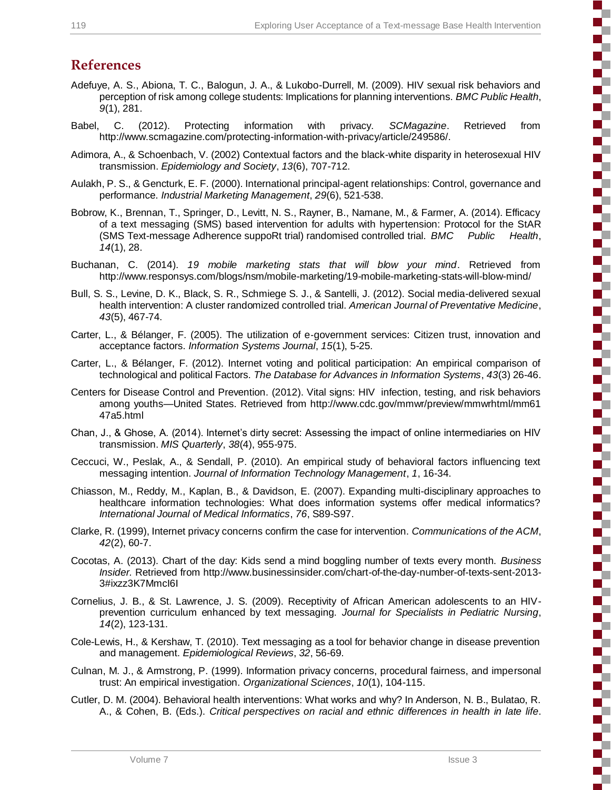ì

**Concerter** 

5

i<br>S

i<br>Santa Santa Santa Santa Santa Santa Santa Santa Santa Santa Santa San

(の)のことがある かんかんかん

3

F

# **References**

- Adefuye, A. S., Abiona, T. C., Balogun, J. A., & Lukobo-Durrell, M. (2009). HIV sexual risk behaviors and perception of risk among college students: Implications for planning interventions. *BMC Public Health*, *9*(1), 281.
- Babel, C. (2012). Protecting information with privacy. *SCMagazine*. Retrieved from http://www.scmagazine.com/protecting-information-with-privacy/article/249586/.
- Adimora, A., & Schoenbach, V. (2002) Contextual factors and the black-white disparity in heterosexual HIV transmission. *Epidemiology and Society*, *13*(6), 707-712.
- Aulakh, P. S., & Gencturk, E. F. (2000). International principal-agent relationships: Control, governance and performance. *Industrial Marketing Management*, *29*(6), 521-538.
- Bobrow, K., Brennan, T., Springer, D., Levitt, N. S., Rayner, B., Namane, M., & Farmer, A. (2014). Efficacy of a text messaging (SMS) based intervention for adults with hypertension: Protocol for the StAR (SMS Text-message Adherence suppoRt trial) randomised controlled trial. *BMC Public Health*, *14*(1), 28.
- Buchanan, C. (2014). *19 mobile marketing stats that will blow your mind*. Retrieved from http://www.responsys.com/blogs/nsm/mobile-marketing/19-mobile-marketing-stats-will-blow-mind/
- Bull, S. S., Levine, D. K., Black, S. R., Schmiege S. J., & Santelli, J. (2012). Social media-delivered sexual health intervention: A cluster randomized controlled trial. *American Journal of Preventative Medicine*, *43*(5), 467-74.
- Carter, L., & Bélanger, F. (2005). The utilization of e‐government services: Citizen trust, innovation and acceptance factors. *Information Systems Journal*, *15*(1), 5-25.
- Carter, L., & Bélanger, F. (2012). Internet voting and political participation: An empirical comparison of technological and political Factors. *The Database for Advances in Information Systems*, *43*(3) 26-46.
- Centers for Disease Control and Prevention. (2012). Vital signs: HIV infection, testing, and risk behaviors among youths—United States. Retrieved from http://www.cdc.gov/mmwr/preview/mmwrhtml/mm61 47a5.html
- Chan, J., & Ghose, A. (2014). Internet's dirty secret: Assessing the impact of online intermediaries on HIV transmission. *MIS Quarterly*, *38*(4), 955-975.
- Ceccuci, W., Peslak, A., & Sendall, P. (2010). An empirical study of behavioral factors influencing text messaging intention. *Journal of Information Technology Management*, *1*, 16-34.
- Chiasson, M., Reddy, M., Kaplan, B., & Davidson, E. (2007). Expanding multi-disciplinary approaches to healthcare information technologies: What does information systems offer medical informatics? *International Journal of Medical Informatics*, *76*, S89-S97.
- Clarke, R. (1999), Internet privacy concerns confirm the case for intervention. *Communications of the ACM*, *42*(2), 60-7.
- Cocotas, A. (2013). Chart of the day: Kids send a mind boggling number of texts every month. *Business Insider.* Retrieved from http://www.businessinsider.com/chart-of-the-day-number-of-texts-sent-2013- 3#ixzz3K7MmcI6I
- Cornelius, J. B., & St. Lawrence, J. S. (2009). Receptivity of African American adolescents to an HIVprevention curriculum enhanced by text messaging. *Journal for Specialists in Pediatric Nursing*, *14*(2), 123-131.
- Cole-Lewis, H., & Kershaw, T. (2010). Text messaging as a tool for behavior change in disease prevention and management. *Epidemiological Reviews*, *32*, 56-69.
- Culnan, M. J., & Armstrong, P. (1999). Information privacy concerns, procedural fairness, and impersonal trust: An empirical investigation. *Organizational Sciences*, *10*(1), 104-115.
- Cutler, D. M. (2004). Behavioral health interventions: What works and why? In Anderson, N. B., Bulatao, R. A., & Cohen, B. (Eds.). *Critical perspectives on racial and ethnic differences in health in late life*.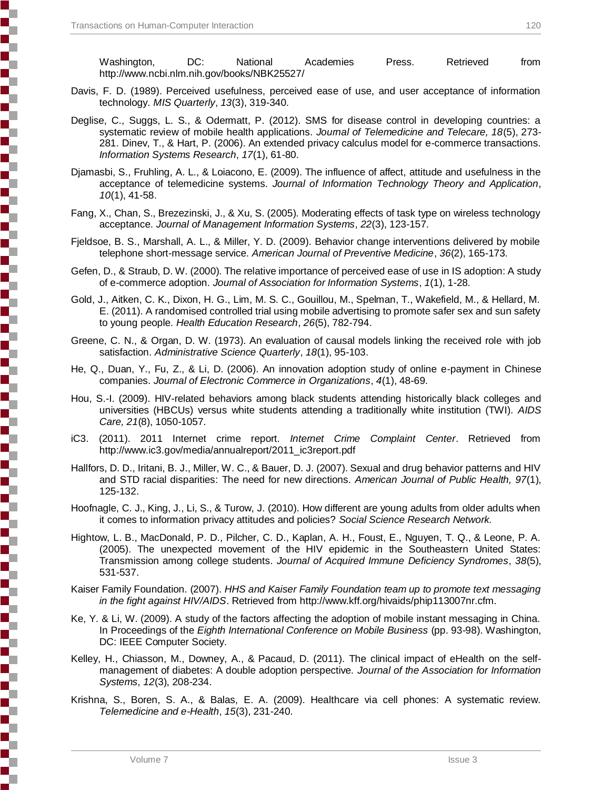Washington, DC: National Academies Press. Retrieved from http://www.ncbi.nlm.nih.gov/books/NBK25527/

- Davis, F. D. (1989). Perceived usefulness, perceived ease of use, and user acceptance of information technology. *MIS Quarterly*, *13*(3), 319-340.
- Deglise, C., Suggs, L. S., & Odermatt, P. (2012). SMS for disease control in developing countries: a systematic review of mobile health applications. *Journal of Telemedicine and Telecare, 18*(5), 273- 281. Dinev, T., & Hart, P. (2006). An extended privacy calculus model for e-commerce transactions. *Information Systems Research*, *17*(1), 61-80.
- Djamasbi, S., Fruhling, A. L., & Loiacono, E. (2009). The influence of affect, attitude and usefulness in the acceptance of telemedicine systems. *Journal of Information Technology Theory and Application*, *10*(1), 41-58.
- Fang, X., Chan, S., Brezezinski, J., & Xu, S. (2005). Moderating effects of task type on wireless technology acceptance. *Journal of Management Information Systems*, *22*(3), 123-157.
- Fjeldsoe, B. S., Marshall, A. L., & Miller, Y. D. (2009). Behavior change interventions delivered by mobile telephone short-message service. *American Journal of Preventive Medicine*, *36*(2), 165-173.
- Gefen, D., & Straub, D. W. (2000). The relative importance of perceived ease of use in IS adoption: A study of e-commerce adoption. *Journal of Association for Information Systems*, *1*(1), 1-28.
- Gold, J., Aitken, C. K., Dixon, H. G., Lim, M. S. C., Gouillou, M., Spelman, T., Wakefield, M., & Hellard, M. E. (2011). A randomised controlled trial using mobile advertising to promote safer sex and sun safety to young people. *Health Education Research*, *26*(5), 782-794.
- Greene, C. N., & Organ, D. W. (1973). An evaluation of causal models linking the received role with job satisfaction. *Administrative Science Quarterly*, *18*(1), 95-103.
- He, Q., Duan, Y., Fu, Z., & Li, D. (2006). An innovation adoption study of online e-payment in Chinese companies. *Journal of Electronic Commerce in Organizations*, *4*(1), 48-69.
- Hou, S.-I. (2009). HIV-related behaviors among black students attending historically black colleges and universities (HBCUs) versus white students attending a traditionally white institution (TWI). *AIDS Care, 21*(8), 1050-1057.
- iC3. (2011). 2011 Internet crime report. *Internet Crime Complaint Center*. Retrieved from http://www.ic3.gov/media/annualreport/2011\_ic3report.pdf
- Hallfors, D. D., Iritani, B. J., Miller, W. C., & Bauer, D. J. (2007). Sexual and drug behavior patterns and HIV and STD racial disparities: The need for new directions. *American Journal of Public Health, 97*(1), 125-132.
- Hoofnagle, C. J., King, J., Li, S., & Turow, J. (2010). How different are young adults from older adults when it comes to information privacy attitudes and policies? *Social Science Research Network.*
- Hightow, L. B., MacDonald, P. D., Pilcher, C. D., Kaplan, A. H., Foust, E., Nguyen, T. Q., & Leone, P. A. (2005). The unexpected movement of the HIV epidemic in the Southeastern United States: Transmission among college students. *Journal of Acquired Immune Deficiency Syndromes*, *38*(5), 531-537.
- Kaiser Family Foundation. (2007). *HHS and Kaiser Family Foundation team up to promote text messaging in the fight against HIV/AIDS*. Retrieved from http://www.kff.org/hivaids/phip113007nr.cfm.
- Ke, Y. & Li, W. (2009). A study of the factors affecting the adoption of mobile instant messaging in China. In Proceedings of the *Eighth International Conference on Mobile Business* (pp. 93-98). Washington, DC: IEEE Computer Society.
- Kelley, H., Chiasson, M., Downey, A., & Pacaud, D. (2011). The clinical impact of eHealth on the selfmanagement of diabetes: A double adoption perspective. *Journal of the Association for Information Systems*, *12*(3), 208-234.
- Krishna, S., Boren, S. A., & Balas, E. A. (2009). Healthcare via cell phones: A systematic review. *Telemedicine and e-Health*, *15*(3), 231-240.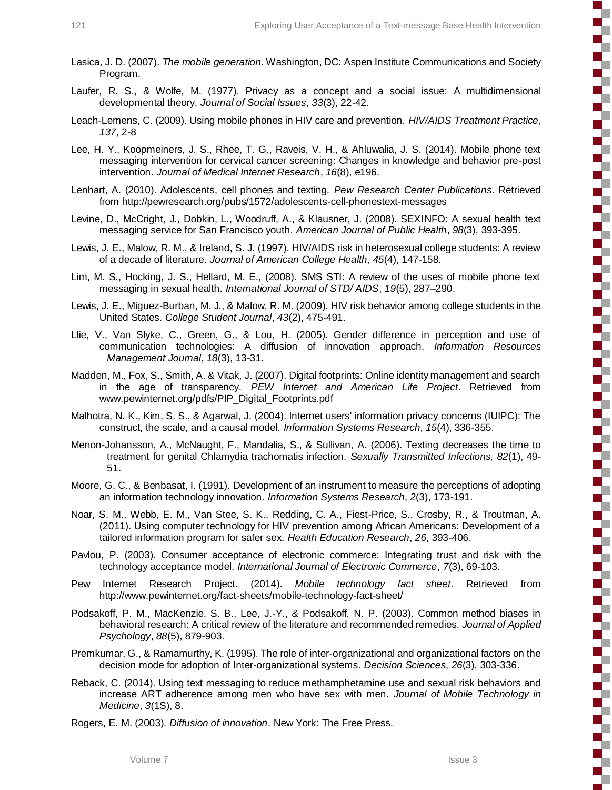しんかん かんかん かんかんかん

E

しんかん かんかん かんかんかん

i<br>Santa Sa

i<br>S

S

5

- Lasica, J. D. (2007). *The mobile generation*. Washington, DC: Aspen Institute Communications and Society Program.
- Laufer, R. S., & Wolfe, M. (1977). Privacy as a concept and a social issue: A multidimensional developmental theory. *Journal of Social Issues*, *33*(3), 22-42.
- Leach-Lemens, C. (2009). Using mobile phones in HIV care and prevention. *HIV/AIDS Treatment Practice*, *137*, 2-8
- Lee, H. Y., Koopmeiners, J. S., Rhee, T. G., Raveis, V. H., & Ahluwalia, J. S. (2014). Mobile phone text messaging intervention for cervical cancer screening: Changes in knowledge and behavior pre-post intervention. *Journal of Medical Internet Research*, *16*(8), e196.
- Lenhart, A. (2010). Adolescents, cell phones and texting. *Pew Research Center Publications*. Retrieved from http://pewresearch.org/pubs/1572/adolescents-cell-phonestext-messages
- Levine, D., McCright, J., Dobkin, L., Woodruff, A., & Klausner, J. (2008). SEXINFO: A sexual health text messaging service for San Francisco youth. *American Journal of Public Health*, *98*(3), 393-395.
- Lewis, J. E., Malow, R. M., & Ireland, S. J. (1997). HIV/AIDS risk in heterosexual college students: A review of a decade of literature. *Journal of American College Health*, *45*(4), 147-158.
- Lim, M. S., Hocking, J. S., Hellard, M. E., (2008). SMS STI: A review of the uses of mobile phone text messaging in sexual health. *International Journal of STD/ AIDS*, *19*(5), 287–290.
- Lewis, J. E., Miguez-Burban, M. J., & Malow, R. M. (2009). HIV risk behavior among college students in the United States. *College Student Journal*, *43*(2), 475-491.
- Llie, V., Van Slyke, C., Green, G., & Lou, H. (2005). Gender difference in perception and use of communication technologies: A diffusion of innovation approach. *Information Resources Management Journal*, *18*(3), 13-31.
- Madden, M., Fox, S., Smith, A. & Vitak, J. (2007). Digital footprints: Online identity management and search in the age of transparency. *PEW Internet and American Life Project*. Retrieved from www.pewinternet.org/pdfs/PIP\_Digital\_Footprints.pdf
- Malhotra, N. K., Kim, S. S., & Agarwal, J. (2004). Internet users' information privacy concerns (IUIPC): The construct, the scale, and a causal model. *Information Systems Research*, *15*(4), 336-355.
- Menon-Johansson, A., McNaught, F., Mandalia, S., & Sullivan, A. (2006). Texting decreases the time to treatment for genital Chlamydia trachomatis infection. *Sexually Transmitted Infections, 82*(1), 49- 51.
- Moore, G. C., & Benbasat, I. (1991). Development of an instrument to measure the perceptions of adopting an information technology innovation. *Information Systems Research*, *2*(3), 173-191.
- Noar, S. M., Webb, E. M., Van Stee, S. K., Redding, C. A., Fiest-Price, S., Crosby, R., & Troutman, A. (2011). Using computer technology for HIV prevention among African Americans: Development of a tailored information program for safer sex. *Health Education Research*, *26*, 393-406.
- Pavlou, P. (2003). Consumer acceptance of electronic commerce: Integrating trust and risk with the technology acceptance model. *International Journal of Electronic Commerce*, *7*(3), 69-103.
- Pew Internet Research Project. (2014). *Mobile technology fact sheet*. Retrieved from http://www.pewinternet.org/fact-sheets/mobile-technology-fact-sheet/
- Podsakoff, P. M., MacKenzie, S. B., Lee, J.-Y., & Podsakoff, N. P. (2003). Common method biases in behavioral research: A critical review of the literature and recommended remedies. *Journal of Applied Psychology*, *88*(5), 879-903.
- Premkumar, G., & Ramamurthy, K. (1995). The role of inter-organizational and organizational factors on the decision mode for adoption of Inter-organizational systems. *Decision Sciences*, *26*(3), 303-336.
- Reback, C. (2014). Using text messaging to reduce methamphetamine use and sexual risk behaviors and increase ART adherence among men who have sex with men. *Journal of Mobile Technology in Medicine*, *3*(1S), 8.
- Rogers, E. M. (2003). *Diffusion of innovation*. New York: The Free Press.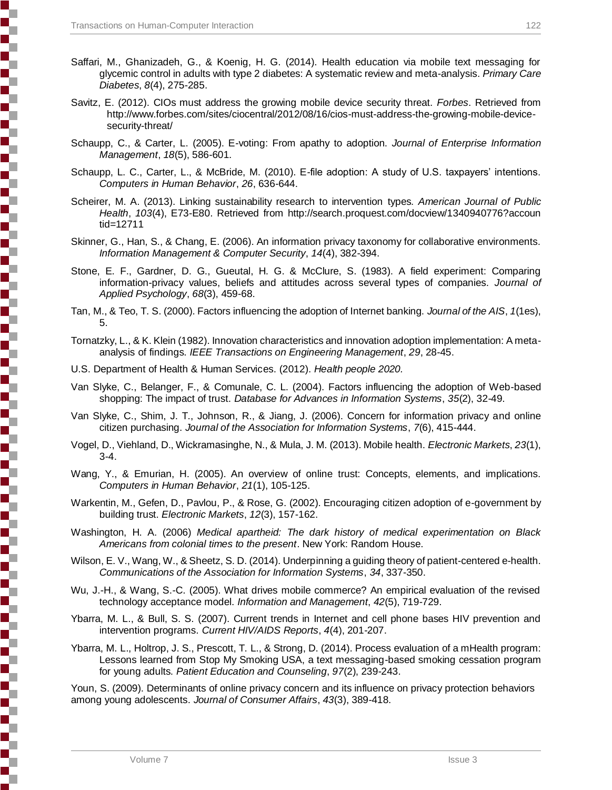- Saffari, M., Ghanizadeh, G., & Koenig, H. G. (2014). Health education via mobile text messaging for glycemic control in adults with type 2 diabetes: A systematic review and meta-analysis. *Primary Care Diabetes*, *8*(4), 275-285.
- Savitz, E. (2012). CIOs must address the growing mobile device security threat. *Forbes*. Retrieved from http://www.forbes.com/sites/ciocentral/2012/08/16/cios-must-address-the-growing-mobile-devicesecurity-threat/
- Schaupp, C., & Carter, L. (2005). E-voting: From apathy to adoption. *Journal of Enterprise Information Management*, *18*(5), 586-601.
- Schaupp, L. C., Carter, L., & McBride, M. (2010). E-file adoption: A study of U.S. taxpayers' intentions. *Computers in Human Behavior*, *26*, 636-644.
- Scheirer, M. A. (2013). Linking sustainability research to intervention types*. American Journal of Public Health*, *103*(4), E73-E80. Retrieved from http://search.proquest.com/docview/1340940776?accoun tid=12711
- Skinner, G., Han, S., & Chang, E. (2006). An information privacy taxonomy for collaborative environments. *Information Management & Computer Security*, *14*(4), 382-394.
- Stone, E. F., Gardner, D. G., Gueutal, H. G. & McClure, S. (1983). A field experiment: Comparing information-privacy values, beliefs and attitudes across several types of companies. *Journal of Applied Psychology*, *68*(3), 459-68.
- Tan, M., & Teo, T. S. (2000). Factors influencing the adoption of Internet banking. *Journal of the AIS*, *1*(1es), 5.
- Tornatzky, L., & K. Klein (1982). Innovation characteristics and innovation adoption implementation: A metaanalysis of findings. *IEEE Transactions on Engineering Management*, *29*, 28-45.
- U.S. Department of Health & Human Services. (2012). *Health people 2020.*
- Van Slyke, C., Belanger, F., & Comunale, C. L. (2004). Factors influencing the adoption of Web-based shopping: The impact of trust. *Database for Advances in Information Systems*, *35*(2), 32-49.
- Van Slyke, C., Shim, J. T., Johnson, R., & Jiang, J. (2006). Concern for information privacy and online citizen purchasing. *Journal of the Association for Information Systems*, *7*(6), 415-444.
- Vogel, D., Viehland, D., Wickramasinghe, N., & Mula, J. M. (2013). Mobile health. *Electronic Markets*, *23*(1), 3-4.
- Wang, Y., & Emurian, H. (2005). An overview of online trust: Concepts, elements, and implications. *Computers in Human Behavior*, *21*(1), 105-125.
- Warkentin, M., Gefen, D., Pavlou, P., & Rose, G. (2002). Encouraging citizen adoption of e-government by building trust. *Electronic Markets*, *12*(3), 157-162.
- Washington, H. A. (2006) *Medical apartheid: The dark history of medical experimentation on Black Americans from colonial times to the present*. New York: Random House.
- Wilson, E. V., Wang, W., & Sheetz, S. D. (2014). Underpinning a guiding theory of patient-centered e-health. *Communications of the Association for Information Systems*, *34*, 337-350.
- Wu, J.-H., & Wang, S.-C. (2005). What drives mobile commerce? An empirical evaluation of the revised technology acceptance model. *Information and Management*, *42*(5), 719-729.
- Ybarra, M. L., & Bull, S. S. (2007). Current trends in Internet and cell phone bases HIV prevention and intervention programs. *Current HIV/AIDS Reports*, *4*(4), 201-207.
- Ybarra, M. L., Holtrop, J. S., Prescott, T. L., & Strong, D. (2014). Process evaluation of a mHealth program: Lessons learned from Stop My Smoking USA, a text messaging-based smoking cessation program for young adults. *Patient Education and Counseling*, *97*(2), 239-243.

Youn, S. (2009). Determinants of online privacy concern and its influence on privacy protection behaviors among young adolescents. *Journal of Consumer Affairs*, *43*(3), 389-418.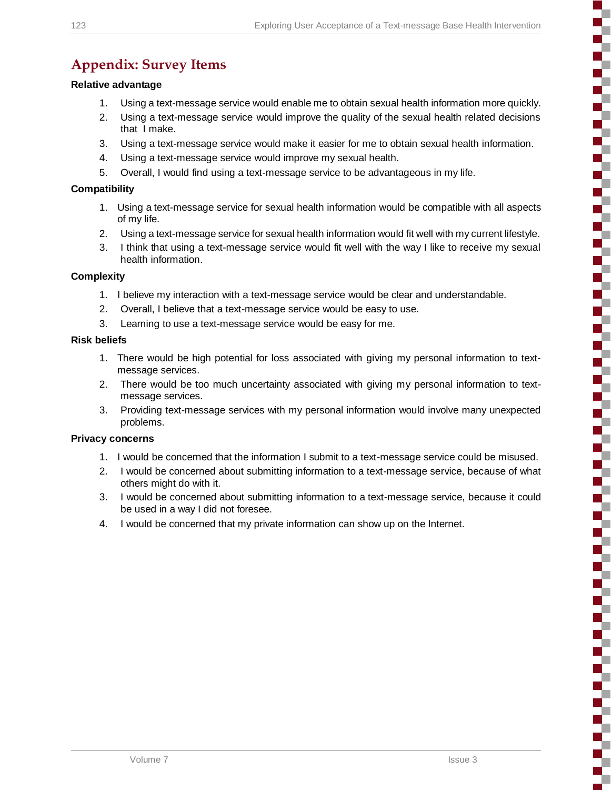ŝ

Ŧ Г 5

Š

a l

E T s

B,

3

S

Ŧ

5

# **Appendix: Survey Items**

#### **Relative advantage**

- 1. Using a text-message service would enable me to obtain sexual health information more quickly.
- 2. Using a text-message service would improve the quality of the sexual health related decisions that I make.
- 3. Using a text-message service would make it easier for me to obtain sexual health information.
- 4. Using a text-message service would improve my sexual health.
- 5. Overall, I would find using a text-message service to be advantageous in my life.

#### **Compatibility**

- 1. Using a text-message service for sexual health information would be compatible with all aspects of my life.
- 2. Using a text-message service for sexual health information would fit well with my current lifestyle.
- 3. I think that using a text-message service would fit well with the way I like to receive my sexual health information.

#### **Complexity**

- 1. I believe my interaction with a text-message service would be clear and understandable.
- 2. Overall, I believe that a text-message service would be easy to use.
- 3. Learning to use a text-message service would be easy for me.

#### **Risk beliefs**

- 1. There would be high potential for loss associated with giving my personal information to textmessage services.
- 2. There would be too much uncertainty associated with giving my personal information to textmessage services.
- 3. Providing text-message services with my personal information would involve many unexpected problems.

#### **Privacy concerns**

- 1. I would be concerned that the information I submit to a text-message service could be misused.
- 2. I would be concerned about submitting information to a text-message service, because of what others might do with it.
- 3. I would be concerned about submitting information to a text-message service, because it could be used in a way I did not foresee.
- 4. I would be concerned that my private information can show up on the Internet.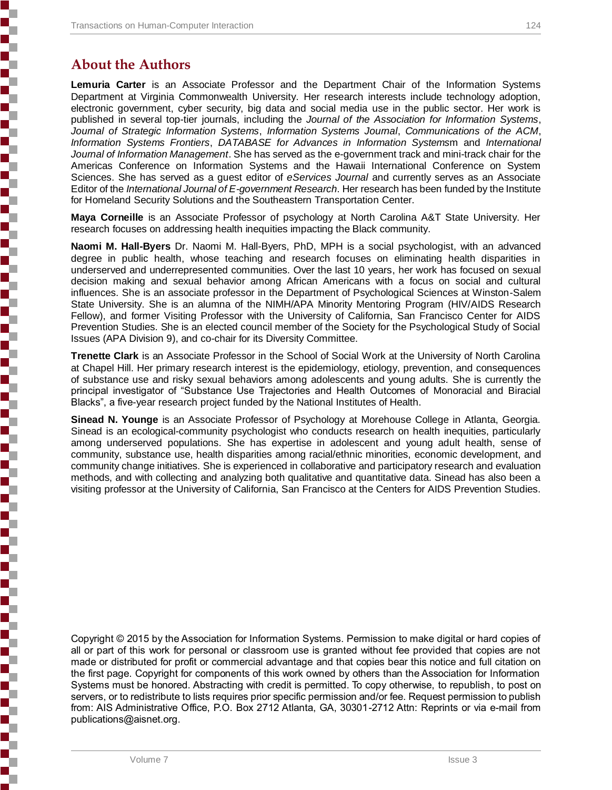# **About the Authors**

**Lemuria Carter** is an Associate Professor and the Department Chair of the Information Systems Department at Virginia Commonwealth University. Her research interests include technology adoption, electronic government, cyber security, big data and social media use in the public sector. Her work is published in several top-tier journals, including the *Journal of the Association for Information Systems*, *Journal of Strategic Information Systems*, *Information Systems Journal*, *Communications of the ACM*, *Information Systems Frontiers*, *DATABASE for Advances in Information Systems*m and *International Journal of Information Management*. She has served as the e-government track and mini-track chair for the Americas Conference on Information Systems and the Hawaii International Conference on System Sciences. She has served as a guest editor of *eServices Journal* and currently serves as an Associate Editor of the *International Journal of E-government Research*. Her research has been funded by the Institute for Homeland Security Solutions and the Southeastern Transportation Center.

**Maya Corneille** is an Associate Professor of psychology at North Carolina A&T State University. Her research focuses on addressing health inequities impacting the Black community.

**Naomi M. Hall-Byers** Dr. Naomi M. Hall-Byers, PhD, MPH is a social psychologist, with an advanced degree in public health, whose teaching and research focuses on eliminating health disparities in underserved and underrepresented communities. Over the last 10 years, her work has focused on sexual decision making and sexual behavior among African Americans with a focus on social and cultural influences. She is an associate professor in the Department of Psychological Sciences at Winston-Salem State University. She is an alumna of the NIMH/APA Minority Mentoring Program (HIV/AIDS Research Fellow), and former Visiting Professor with the University of California, San Francisco Center for AIDS Prevention Studies. She is an elected council member of the Society for the Psychological Study of Social Issues (APA Division 9), and co-chair for its Diversity Committee.

**Trenette Clark** is an Associate Professor in the School of Social Work at the University of North Carolina at Chapel Hill. Her primary research interest is the epidemiology, etiology, prevention, and consequences of substance use and risky sexual behaviors among adolescents and young adults. She is currently the principal investigator of "Substance Use Trajectories and Health Outcomes of Monoracial and Biracial Blacks", a five-year research project funded by the National Institutes of Health.

**Sinead N. Younge** is an Associate Professor of Psychology at Morehouse College in Atlanta, Georgia. Sinead is an ecological-community psychologist who conducts research on health inequities, particularly among underserved populations. She has expertise in adolescent and young adult health, sense of community, substance use, health disparities among racial/ethnic minorities, economic development, and community change initiatives. She is experienced in collaborative and participatory research and evaluation methods, and with collecting and analyzing both qualitative and quantitative data. Sinead has also been a visiting professor at the University of California, San Francisco at the Centers for AIDS Prevention Studies.

Copyright © 2015 by the Association for Information Systems. Permission to make digital or hard copies of all or part of this work for personal or classroom use is granted without fee provided that copies are not made or distributed for profit or commercial advantage and that copies bear this notice and full citation on the first page. Copyright for components of this work owned by others than the Association for Information Systems must be honored. Abstracting with credit is permitted. To copy otherwise, to republish, to post on servers, or to redistribute to lists requires prior specific permission and/or fee. Request permission to publish from: AIS Administrative Office, P.O. Box 2712 Atlanta, GA, 30301-2712 Attn: Reprints or via e-mail from publications@aisnet.org.